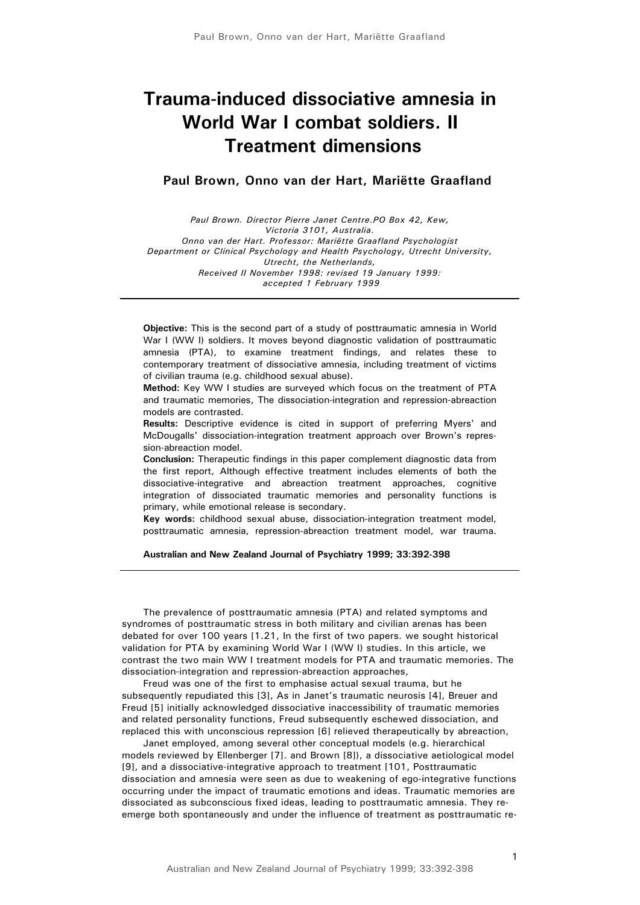# **Trauma-induced dissociative amnesia in World War I combat soldiers. II Treatment dimensions**

# **Paul Brown, Onno van der Hart, Mariëtte Graafland**

*Paul Brown. Director Pierre Janet Centre.PO Box 42, Kew, Victoria 3101, Australia. Onno van der Hart. Professor: Mariëtte Graafland Psychologist Department or Clinical Psychology and Health Psychology, Utrecht University, Utrecht, the Netherlands, Received II November 1998: revised 19 January 1999: accepted 1 February 1999* 

**Objective:** This is the second part of a study of posttraumatic amnesia in World War I (WW I) soldiers. It moves beyond diagnostic validation of posttraumatic amnesia (PTA), to examine treatment findings, and relates these to contemporary treatment of dissociative amnesia, including treatment of victims of civilian trauma (e.g. childhood sexual abuse).

**Method:** Key WW I studies are surveyed which focus on the treatment of PTA and traumatic memories, The dissociation-integration and repression-abreaction models are contrasted.

**Results:** Descriptive evidence is cited in support of preferring Myers' and McDougalls' dissociation-integration treatment approach over Brown's repression-abreaction model.

**Conclusion:** Therapeutic findings in this paper complement diagnostic data from the first report, Although effective treatment includes elements of both the dissociative-integrative and abreaction treatment approaches, cognitive integration of dissociated traumatic memories and personality functions is primary, while emotional release is secondary.

**Key words:** childhood sexual abuse, dissociation-integration treatment model, posttraumatic amnesia, repression-abreaction treatment model, war trauma.

#### **Australian and New Zealand Journal of Psychiatry 1999; 33:392-398**

The prevalence of posttraumatic amnesia (PTA) and related symptoms and syndromes of posttraumatic stress in both military and civilian arenas has been debated for over 100 years [1.21, In the first of two papers. we sought historical validation for PTA by examining World War I (WW I) studies. In this article, we contrast the two main WW I treatment models for PTA and traumatic memories. The dissociation-integration and repression-abreaction approaches,

Freud was one of the first to emphasise actual sexual trauma, but he subsequently repudiated this [3], As in Janet's traumatic neurosis [4], Breuer and Freud [5] initially acknowledged dissociative inaccessibility of traumatic memories and related personality functions, Freud subsequently eschewed dissociation, and replaced this with unconscious repression [6] relieved therapeutically by abreaction,

Janet employed, among several other conceptual models (e.g. hierarchical models reviewed by Ellenberger [7]. and Brown [8]), a dissociative aetiological model [9], and a dissociative-integrative approach to treatment [101, Posttraumatic dissociation and amnesia were seen as due to weakening of ego-integrative functions occurring under the impact of traumatic emotions and ideas. Traumatic memories are dissociated as subconscious fixed ideas, leading to posttraumatic amnesia. They reemerge both spontaneously and under the influence of treatment as posttraumatic re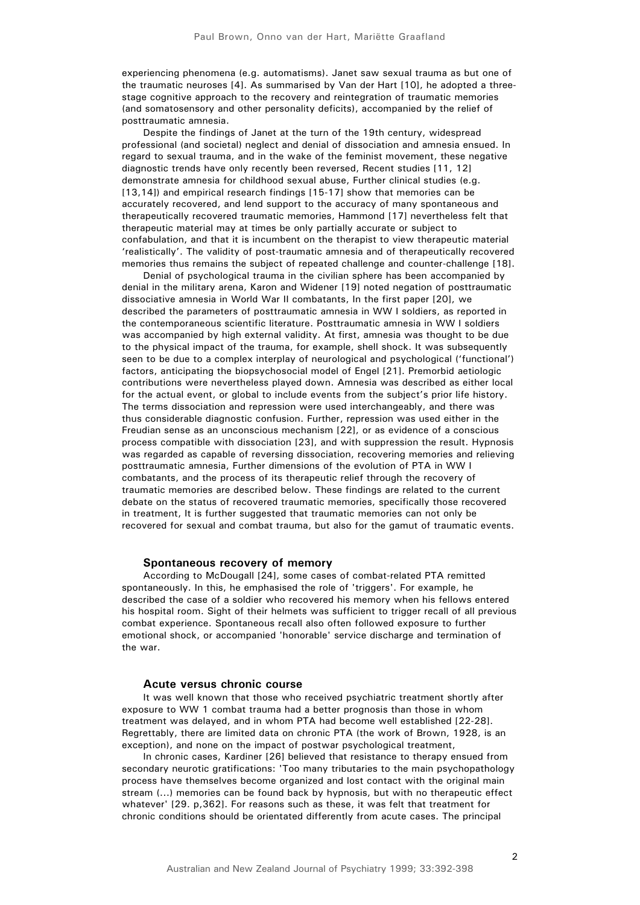experiencing phenomena (e.g. automatisms). Janet saw sexual trauma as but one of the traumatic neuroses [4]. As summarised by Van der Hart [10], he adopted a threestage cognitive approach to the recovery and reintegration of traumatic memories (and somatosensory and other personality deficits), accompanied by the relief of posttraumatic amnesia.

Despite the findings of Janet at the turn of the 19th century, widespread professional (and societal) neglect and denial of dissociation and amnesia ensued. In regard to sexual trauma, and in the wake of the feminist movement, these negative diagnostic trends have only recently been reversed, Recent studies [11, 12] demonstrate amnesia for childhood sexual abuse, Further clinical studies (e.g. [13,14]) and empirical research findings [15-17] show that memories can be accurately recovered, and lend support to the accuracy of many spontaneous and therapeutically recovered traumatic memories, Hammond [17] nevertheless felt that therapeutic material may at times be only partially accurate or subject to confabulation, and that it is incumbent on the therapist to view therapeutic material 'realistically'. The validity of post-traumatic amnesia and of therapeutically recovered memories thus remains the subject of repeated challenge and counter-challenge [18].

Denial of psychological trauma in the civilian sphere has been accompanied by denial in the military arena, Karon and Widener [19] noted negation of posttraumatic dissociative amnesia in World War II combatants, In the first paper [20], we described the parameters of posttraumatic amnesia in WW I soldiers, as reported in the contemporaneous scientific literature. Posttraumatic amnesia in WW I soldiers was accompanied by high external validity. At first, amnesia was thought to be due to the physical impact of the trauma, for example, shell shock. It was subsequently seen to be due to a complex interplay of neurological and psychological ('functional') factors, anticipating the biopsychosocial model of Engel [21]. Premorbid aetiologic contributions were nevertheless played down. Amnesia was described as either local for the actual event, or global to include events from the subject's prior life history. The terms dissociation and repression were used interchangeably, and there was thus considerable diagnostic confusion. Further, repression was used either in the Freudian sense as an unconscious mechanism [22], or as evidence of a conscious process compatible with dissociation [23], and with suppression the result. Hypnosis was regarded as capable of reversing dissociation, recovering memories and relieving posttraumatic amnesia, Further dimensions of the evolution of PTA in WW I combatants, and the process of its therapeutic relief through the recovery of traumatic memories are described below. These findings are related to the current debate on the status of recovered traumatic memories, specifically those recovered in treatment, It is further suggested that traumatic memories can not only be recovered for sexual and combat trauma, but also for the gamut of traumatic events.

## **Spontaneous recovery of memory**

According to McDougall [24], some cases of combat-related PTA remitted spontaneously. In this, he emphasised the role of 'triggers'. For example, he described the case of a soldier who recovered his memory when his fellows entered his hospital room. Sight of their helmets was sufficient to trigger recall of all previous combat experience. Spontaneous recall also often followed exposure to further emotional shock, or accompanied 'honorable' service discharge and termination of the war.

#### **Acute versus chronic course**

It was well known that those who received psychiatric treatment shortly after exposure to WW 1 combat trauma had a better prognosis than those in whom treatment was delayed, and in whom PTA had become well established [22-28]. Regrettably, there are limited data on chronic PTA (the work of Brown, 1928, is an exception), and none on the impact of postwar psychological treatment,

In chronic cases, Kardiner [26] believed that resistance to therapy ensued from secondary neurotic gratifications: 'Too many tributaries to the main psychopathology process have themselves become organized and lost contact with the original main stream (...) memories can be found back by hypnosis, but with no therapeutic effect whatever' [29. p,362]. For reasons such as these, it was felt that treatment for chronic conditions should be orientated differently from acute cases. The principal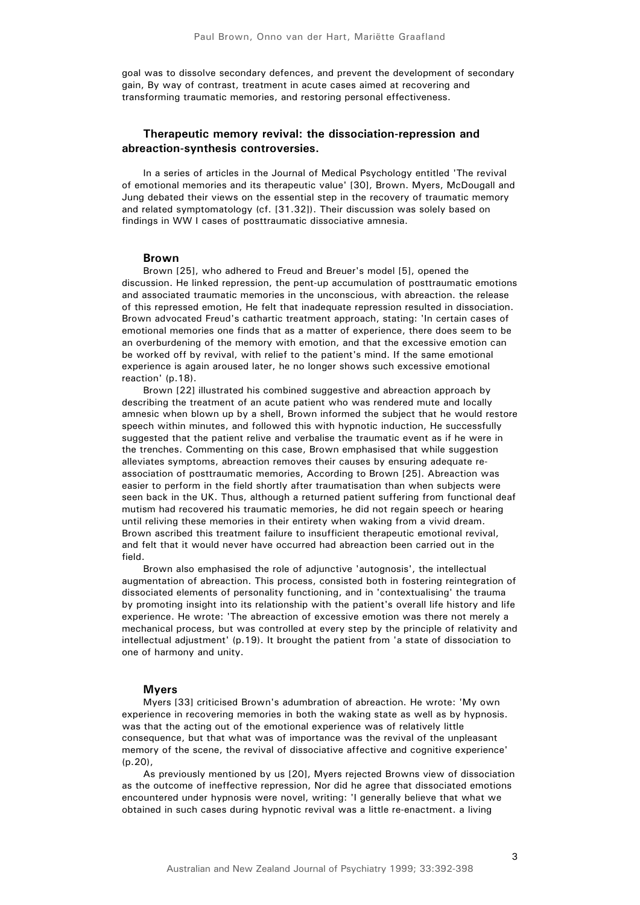goal was to dissolve secondary defences, and prevent the development of secondary gain, By way of contrast, treatment in acute cases aimed at recovering and transforming traumatic memories, and restoring personal effectiveness.

## **Therapeutic memory revival: the dissociation-repression and abreaction-synthesis controversies.**

In a series of articles in the Journal of Medical Psychology entitled 'The revival of emotional memories and its therapeutic value' [30], Brown. Myers, McDougall and Jung debated their views on the essential step in the recovery of traumatic memory and related symptomatology (cf. [31.32]). Their discussion was solely based on findings in WW I cases of posttraumatic dissociative amnesia.

#### **Brown**

Brown [25], who adhered to Freud and Breuer's model [5], opened the discussion. He linked repression, the pent-up accumulation of posttraumatic emotions and associated traumatic memories in the unconscious, with abreaction. the release of this repressed emotion, He felt that inadequate repression resulted in dissociation. Brown advocated Freud's cathartic treatment approach, stating: 'In certain cases of emotional memories one finds that as a matter of experience, there does seem to be an overburdening of the memory with emotion, and that the excessive emotion can be worked off by revival, with relief to the patient's mind. If the same emotional experience is again aroused later, he no longer shows such excessive emotional reaction' (p.18).

Brown [22] illustrated his combined suggestive and abreaction approach by describing the treatment of an acute patient who was rendered mute and locally amnesic when blown up by a shell, Brown informed the subject that he would restore speech within minutes, and followed this with hypnotic induction, He successfully suggested that the patient relive and verbalise the traumatic event as if he were in the trenches. Commenting on this case, Brown emphasised that while suggestion alleviates symptoms, abreaction removes their causes by ensuring adequate reassociation of posttraumatic memories, According to Brown [25]. Abreaction was easier to perform in the field shortly after traumatisation than when subjects were seen back in the UK. Thus, although a returned patient suffering from functional deaf mutism had recovered his traumatic memories, he did not regain speech or hearing until reliving these memories in their entirety when waking from a vivid dream. Brown ascribed this treatment failure to insufficient therapeutic emotional revival, and felt that it would never have occurred had abreaction been carried out in the field.

Brown also emphasised the role of adjunctive 'autognosis', the intellectual augmentation of abreaction. This process, consisted both in fostering reintegration of dissociated elements of personality functioning, and in 'contextualising' the trauma by promoting insight into its relationship with the patient's overall life history and life experience. He wrote: 'The abreaction of excessive emotion was there not merely a mechanical process, but was controlled at every step by the principle of relativity and intellectual adjustment' (p.19). It brought the patient from 'a state of dissociation to one of harmony and unity.

#### **Myers**

Myers [33] criticised Brown's adumbration of abreaction. He wrote: 'My own experience in recovering memories in both the waking state as well as by hypnosis. was that the acting out of the emotional experience was of relatively little consequence, but that what was of importance was the revival of the unpleasant memory of the scene, the revival of dissociative affective and cognitive experience'  $(n.20)$ .

As previously mentioned by us [20], Myers rejected Browns view of dissociation as the outcome of ineffective repression, Nor did he agree that dissociated emotions encountered under hypnosis were novel, writing: 'I generally believe that what we obtained in such cases during hypnotic revival was a little re-enactment. a living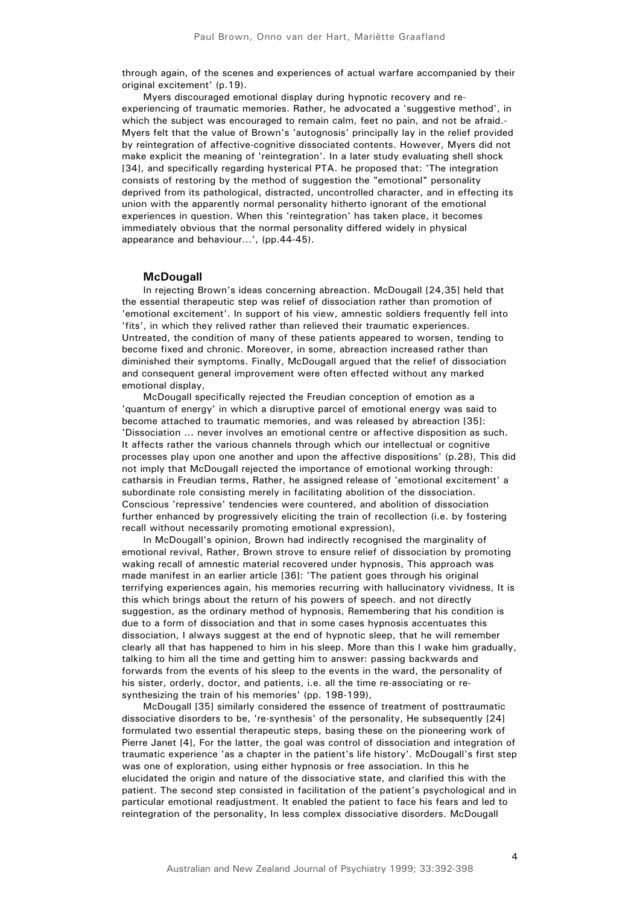through again, of the scenes and experiences of actual warfare accompanied by their original excitement' (p.19).

Myers discouraged emotional display during hypnotic recovery and reexperiencing of traumatic memories. Rather, he advocated a 'suggestive method', in which the subject was encouraged to remain calm, feet no pain, and not be afraid.- Myers felt that the value of Brown's 'autognosis' principally lay in the relief provided by reintegration of affective-cognitive dissociated contents. However, Myers did not make explicit the meaning of 'reintegration'. In a later study evaluating shell shock [34], and specifically regarding hysterical PTA. he proposed that: 'The integration consists of restoring by the method of suggestion the "emotional" personality deprived from its pathological, distracted, uncontrolled character, and in effecting its union with the apparently normal personality hitherto ignorant of the emotional experiences in question. When this 'reintegration' has taken place, it becomes immediately obvious that the normal personality differed widely in physical appearance and behaviour…', (pp.44-45).

## **McDougall**

In rejecting Brown's ideas concerning abreaction. McDougall [24,35] held that the essential therapeutic step was relief of dissociation rather than promotion of 'emotional excitement'. In support of his view, amnestic soldiers frequently fell into 'fits', in which they relived rather than relieved their traumatic experiences. Untreated, the condition of many of these patients appeared to worsen, tending to become fixed and chronic. Moreover, in some, abreaction increased rather than diminished their symptoms. Finally, McDougall argued that the relief of dissociation and consequent general improvement were often effected without any marked emotional display,

McDougall specifically rejected the Freudian conception of emotion as a 'quantum of energy' in which a disruptive parcel of emotional energy was said to become attached to traumatic memories, and was released by abreaction [35]: 'Dissociation ... never involves an emotional centre or affective disposition as such. It affects rather the various channels through which our intellectual or cognitive processes play upon one another and upon the affective dispositions' (p.28), This did not imply that McDougall rejected the importance of emotional working through: catharsis in Freudian terms, Rather, he assigned release of 'emotional excitement' a subordinate role consisting merely in facilitating abolition of the dissociation. Conscious 'repressive' tendencies were countered, and abolition of dissociation further enhanced by progressively eliciting the train of recollection (i.e. by fostering recall without necessarily promoting emotional expression),

In McDougall's opinion, Brown had indirectly recognised the marginality of emotional revival, Rather, Brown strove to ensure relief of dissociation by promoting waking recall of amnestic material recovered under hypnosis, This approach was made manifest in an earlier article [36]: 'The patient goes through his original terrifying experiences again, his memories recurring with hallucinatory vividness, It is this which brings about the return of his powers of speech. and not directly suggestion, as the ordinary method of hypnosis, Remembering that his condition is due to a form of dissociation and that in some cases hypnosis accentuates this dissociation, I always suggest at the end of hypnotic sleep, that he will remember clearly all that has happened to him in his sleep. More than this I wake him gradually, talking to him all the time and getting him to answer: passing backwards and forwards from the events of his sleep to the events in the ward, the personality of his sister, orderly, doctor, and patients, i.e. all the time re-associating or resynthesizing the train of his memories' (pp. 198-199),

McDougall [35] similarly considered the essence of treatment of posttraumatic dissociative disorders to be, 're-synthesis' of the personality, He subsequently [24] formulated two essential therapeutic steps, basing these on the pioneering work of Pierre Janet [4], For the latter, the goal was control of dissociation and integration of traumatic experience 'as a chapter in the patient's life history'. McDougall's first step was one of exploration, using either hypnosis or free association. In this he elucidated the origin and nature of the dissociative state, and clarified this with the patient. The second step consisted in facilitation of the patient's psychological and in particular emotional readjustment. It enabled the patient to face his fears and led to reintegration of the personality, In less complex dissociative disorders. McDougall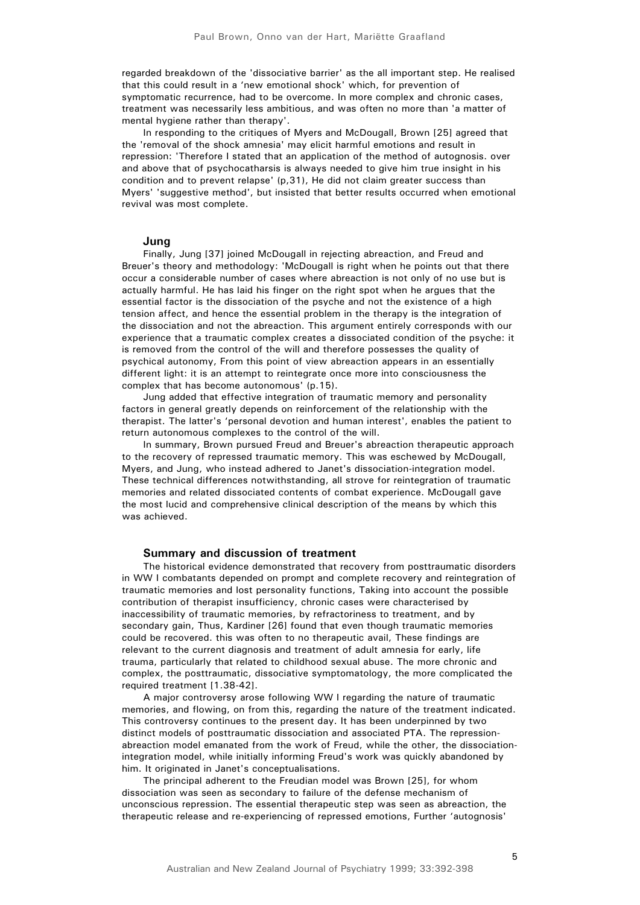regarded breakdown of the 'dissociative barrier' as the all important step. He realised that this could result in a 'new emotional shock' which, for prevention of symptomatic recurrence, had to be overcome. In more complex and chronic cases, treatment was necessarily less ambitious, and was often no more than 'a matter of mental hygiene rather than therapy'.

In responding to the critiques of Myers and McDougall, Brown [25] agreed that the 'removal of the shock amnesia' may elicit harmful emotions and result in repression: 'Therefore I stated that an application of the method of autognosis. over and above that of psychocatharsis is always needed to give him true insight in his condition and to prevent relapse' (p,31), He did not claim greater success than Myers' 'suggestive method', but insisted that better results occurred when emotional revival was most complete.

### **Jung**

Finally, Jung [37] joined McDougall in rejecting abreaction, and Freud and Breuer's theory and methodology: 'McDougall is right when he points out that there occur a considerable number of cases where abreaction is not only of no use but is actually harmful. He has laid his finger on the right spot when he argues that the essential factor is the dissociation of the psyche and not the existence of a high tension affect, and hence the essential problem in the therapy is the integration of the dissociation and not the abreaction. This argument entirely corresponds with our experience that a traumatic complex creates a dissociated condition of the psyche: it is removed from the control of the will and therefore possesses the quality of psychical autonomy, From this point of view abreaction appears in an essentially different light: it is an attempt to reintegrate once more into consciousness the complex that has become autonomous' (p.15).

Jung added that effective integration of traumatic memory and personality factors in general greatly depends on reinforcement of the relationship with the therapist. The latter's 'personal devotion and human interest', enables the patient to return autonomous complexes to the control of the will.

In summary, Brown pursued Freud and Breuer's abreaction therapeutic approach to the recovery of repressed traumatic memory. This was eschewed by McDougall, Myers, and Jung, who instead adhered to Janet's dissociation-integration model. These technical differences notwithstanding, all strove for reintegration of traumatic memories and related dissociated contents of combat experience. McDougall gave the most lucid and comprehensive clinical description of the means by which this was achieved.

## **Summary and discussion of treatment**

The historical evidence demonstrated that recovery from posttraumatic disorders in WW I combatants depended on prompt and complete recovery and reintegration of traumatic memories and lost personality functions, Taking into account the possible contribution of therapist insufficiency, chronic cases were characterised by inaccessibility of traumatic memories, by refractoriness to treatment, and by secondary gain, Thus, Kardiner [26] found that even though traumatic memories could be recovered. this was often to no therapeutic avail, These findings are relevant to the current diagnosis and treatment of adult amnesia for early, life trauma, particularly that related to childhood sexual abuse. The more chronic and complex, the posttraumatic, dissociative symptomatology, the more complicated the required treatment [1.38-42].

A major controversy arose following WW I regarding the nature of traumatic memories, and flowing, on from this, regarding the nature of the treatment indicated. This controversy continues to the present day. It has been underpinned by two distinct models of posttraumatic dissociation and associated PTA. The repressionabreaction model emanated from the work of Freud, while the other, the dissociationintegration model, while initially informing Freud's work was quickly abandoned by him. It originated in Janet's conceptualisations.

The principal adherent to the Freudian model was Brown [25], for whom dissociation was seen as secondary to failure of the defense mechanism of unconscious repression. The essential therapeutic step was seen as abreaction, the therapeutic release and re-experiencing of repressed emotions, Further 'autognosis'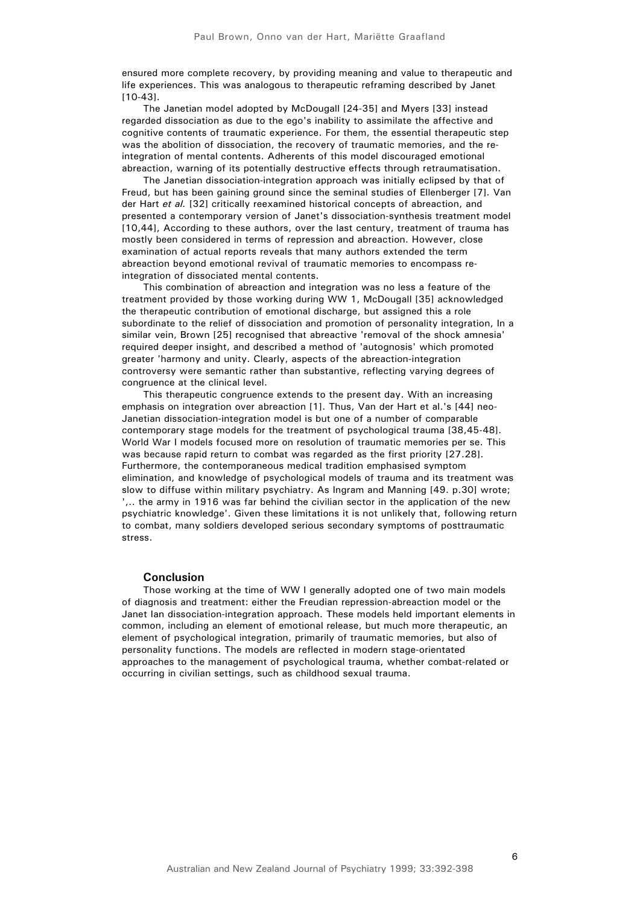ensured more complete recovery, by providing meaning and value to therapeutic and life experiences. This was analogous to therapeutic reframing described by Janet  $[10-43]$ 

The Janetian model adopted by McDougall [24-35] and Myers [33] instead regarded dissociation as due to the ego's inability to assimilate the affective and cognitive contents of traumatic experience. For them, the essential therapeutic step was the abolition of dissociation, the recovery of traumatic memories, and the reintegration of mental contents. Adherents of this model discouraged emotional abreaction, warning of its potentially destructive effects through retraumatisation.

The Janetian dissociation-integration approach was initially eclipsed by that of Freud, but has been gaining ground since the seminal studies of Ellenberger [7]. Van der Hart *et al.* [32] critically reexamined historical concepts of abreaction, and presented a contemporary version of Janet's dissociation-synthesis treatment model [10,44], According to these authors, over the last century, treatment of trauma has mostly been considered in terms of repression and abreaction. However, close examination of actual reports reveals that many authors extended the term abreaction beyond emotional revival of traumatic memories to encompass reintegration of dissociated mental contents.

This combination of abreaction and integration was no less a feature of the treatment provided by those working during WW 1, McDougall [35] acknowledged the therapeutic contribution of emotional discharge, but assigned this a role subordinate to the relief of dissociation and promotion of personality integration, In a similar vein, Brown [25] recognised that abreactive 'removal of the shock amnesia' required deeper insight, and described a method of 'autognosis' which promoted greater 'harmony and unity. Clearly, aspects of the abreaction-integration controversy were semantic rather than substantive, reflecting varying degrees of congruence at the clinical level.

This therapeutic congruence extends to the present day. With an increasing emphasis on integration over abreaction [1]. Thus, Van der Hart et al.'s [44] neo-Janetian dissociation-integration model is but one of a number of comparable contemporary stage models for the treatment of psychological trauma [38,45-48]. World War I models focused more on resolution of traumatic memories per se. This was because rapid return to combat was regarded as the first priority [27.28]. Furthermore, the contemporaneous medical tradition emphasised symptom elimination, and knowledge of psychological models of trauma and its treatment was slow to diffuse within military psychiatry. As Ingram and Manning [49. p.30] wrote; ',.. the army in 1916 was far behind the civilian sector in the application of the new psychiatric knowledge'. Given these limitations it is not unlikely that, following return to combat, many soldiers developed serious secondary symptoms of posttraumatic stress.

## **Conclusion**

Those working at the time of WW I generally adopted one of two main models of diagnosis and treatment: either the Freudian repression-abreaction model or the Janet Ian dissociation-integration approach. These models held important elements in common, including an element of emotional release, but much more therapeutic, an element of psychological integration, primarily of traumatic memories, but also of personality functions. The models are reflected in modern stage-orientated approaches to the management of psychological trauma, whether combat-related or occurring in civilian settings, such as childhood sexual trauma.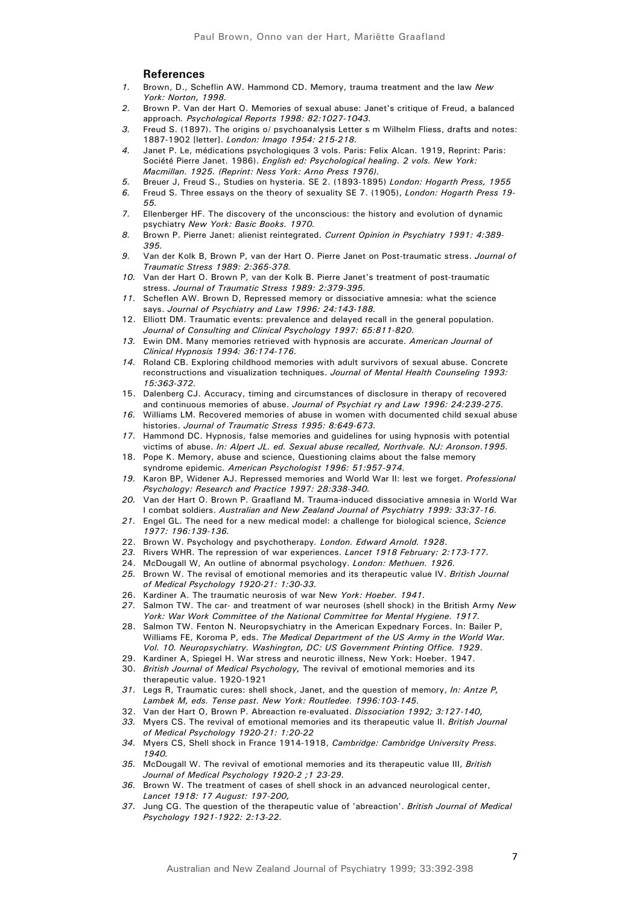#### **References**

- *1.* Brown, D., Scheflin AW. Hammond CD. Memory, trauma treatment and the law *New York: Norton, 1998.*
- *2.* Brown P. Van der Hart O. Memories of sexual abuse: Janet's critique of Freud, a balanced approach*. Psychological Reports 1998: 82:1027-1043.*
- *3.* Freud S. (1897). The origins o/ psychoanalysis Letter s m Wilhelm Fliess, drafts and notes: 1887-1902 [letter]. *London: Imago 1954: 215-218.*
- *4.* Janet P. Le, médications psychologiques 3 vols. Paris: Felix Alcan. 1919, Reprint: Paris: Société Pierre Janet. 1986). *English ed: Psychological healing. 2 vols. New York: Macmillan. 1925. (Reprint: Ness York: Arno Press 1976).*
- *5.* Breuer J, Freud S., Studies on hysteria. SE 2. (1893-1895) *London: Hogarth Press, 1955*
- *6.* Freud S. Three essays on the theory of sexuality SE 7. (1905), *London: Hogarth Press 19- 55.*
- *7.* Ellenberger HF. The discovery of the unconscious: the history and evolution of dynamic psychiatry *New York: Basic Books. 1970.*
- *8.* Brown P. Pierre Janet: alienist reintegrated. *Current Opinion in Psychiatry 1991: 4:389- 395.*
- *9.* Van der Kolk B, Brown P, van der Hart O. Pierre Janet on Post-traumatic stress. *Journal of Traumatic Stress 1989: 2:365-378.*
- *10.* Van der Hart O. Brown P, van der Kolk B. Pierre Janet's treatment of post-traumatic stress. *Journal of Traumatic Stress 1989: 2:379-395.*
- *11.* Scheflen AW. Brown D, Repressed memory or dissociative amnesia: what the science says. *Journal of Psychiatry and Law 1996: 24:143-188.*
- 12. Elliott DM. Traumatic events: prevalence and delayed recall in the general population. *Journal of Consulting and Clinical Psychology 1997: 65:811-820.*
- *13.* Ewin DM. Many memories retrieved with hypnosis are accurate. *American Journal of Clinical Hypnosis 1994: 36:174-176.*
- *14.* Roland CB. Exploring childhood memories with adult survivors of sexual abuse. Concrete reconstructions and visualization techniques. *Journal of Mental Health Counseling 1993: 15:363-372.*
- 15. Dalenberg CJ. Accuracy, timing and circumstances of disclosure in therapy of recovered and continuous memories of abuse. *Journal of Psychiat ry and Law 1996: 24:239-275.*
- *16.* Williams LM. Recovered memories of abuse in women with documented child sexual abuse histories. *Journal of Traumatic Stress 1995: 8:649-673.*
- *17.* Hammond DC. Hypnosis, false memories and guidelines for using hypnosis with potential victims of abuse. *In: Alpert JL. ed. Sexual abuse recalled, Northvale. NJ: Aronson.1995.*
- 18. Pope K. Memory, abuse and science, Questioning claims about the false memory syndrome epidemic*. American Psychologist 1996: 51:957-974.*
- *19.* Karon BP, Widener AJ. Repressed memories and World War II: lest we forget. *Professional Psychology: Research and Practice 1997: 28:338-340.*
- *20.* Van der Hart O. Brown P. Graafland M. Trauma-induced dissociative amnesia in World War I combat soldiers. *Australian and New Zealand Journal of Psychiatry 1999: 33:37-16.*
- *21.* Engel GL. The need for a new medical model: a challenge for biological science, *Science 1977: 196:139-136.*
- 22. Brown W. Psychology and psychotherapy*. London. Edward Arnold. 1928*.
- *23.* Rivers WHR. The repression of war experiences. *Lancet 1918 February: 2:173-177.*
- 24. McDougall W, An outline of abnormal psychology. *London: Methuen. 1926.*
- *25.* Brown W. The revisal of emotional memories and its therapeutic value IV. *British Journal of Medical Psychology 1920-21: 1:30-33.*
- 26. Kardiner A. The traumatic neurosis of war New *York: Hoeber. 1941.*
- *27.* Salmon TW. The car- and treatment of war neuroses (shell shock) in the British Army *New York: War Work Committee of the National Committee for Mental Hygiene. 1917.*
- 28. Salmon TW. Fenton N. Neuropsychiatry in the American Expednary Forces. In: Bailer P, Williams FE, Koroma P, eds. *The Medical Department of the US Army in the World War. Vol. 10. Neuropsychiatry. Washington, DC: US Government Printing Office. 1929*.
- 29. Kardiner A, Spiegel H. War stress and neurotic illness, New York: Hoeber. 1947.
- 30. *British Journal of Medical Psychology,* The revival of emotional memories and its therapeutic value. 1920-1921
- *31.* Legs R, Traumatic cures: shell shock, Janet, and the question of memory, *In: Antze P, Lambek M, eds. Tense past. New York: Routledee. 1996:103-145.*
- 32. Van der Hart O, Brown P. Abreaction re-evaluated. *Dissociation 1992; 3:127-140,*
- *33.* Myers CS. The revival of emotional memories and its therapeutic value II. *British Journal of Medical Psychology 1920-21: 1:20-22*
- *34.* Myers CS, Shell shock in France 1914-1918, *Cambridge: Cambridge University Press. 1940.*
- *35.* McDougall W. The revival of emotional memories and its therapeutic value III, *British Journal of Medical Psychology 1920-2 ;1 23-29.*
- *36.* Brown W. The treatment of cases of shell shock in an advanced neurological center, *Lancet 1918: 17 August: 197-200,*
- *37.* Jung CG. The question of the therapeutic value of 'abreaction'. *British Journal of Medical Psychology 1921-1922: 2:13-22.*